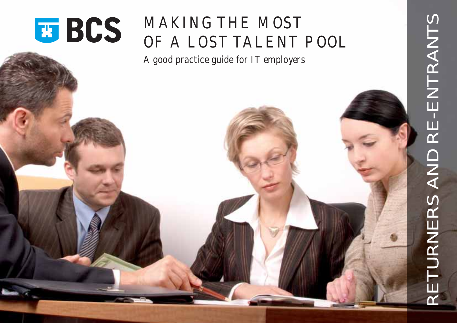# **EF BCS**

## MAKING THE MOST OF A LOST TALENT POOL

A good practice guide for IT employers

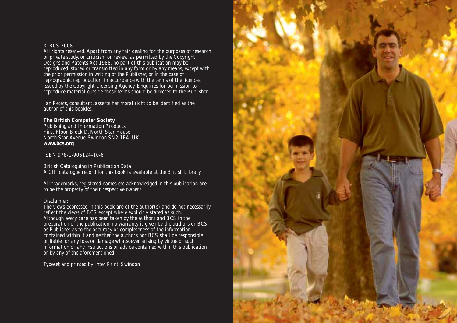#### © BCS 2008

All rights reserved. Apart from any fair dealing for the purposes of research or private study, or criticism or review, as permitted by the Copyright Designs and Patents Act 1988, no part of this publication may be reproduced, stored or transmitted in any form or by any means, except with the prior permission in writing of the Publisher, or in the case of reprographic reproduction, in accordance with the terms of the licences issued by the Copyright Licensing Agency. Enquiries for permission to reproduce material outside those terms should be directed to the Publisher.

Jan Peters, consultant, asserts her moral right to be identified as the author of this booklet.

#### **The British Computer Society**

Publishing and Information Products First Floor, Block D, North Star House North Star Avenue, Swindon SN2 1FA, UK **www.bcs.org** 

ISBN 978-1-906124-10-6

British Cataloguing in Publication Data. A CIP catalogue record for this book is available at the British Library.

All trademarks, registered names etc acknowledged in this publication are to be the property of their respective owners.

#### Disclaimer:

The views expressed in this book are of the author(s) and do not necessarily reflect the views of BCS except where explicitly stated as such. Although every care has been taken by the authors and BCS in the preparation of the publication, no warranty is given by the authors or BCS as Publisher as to the accuracy or completeness of the information contained within it and neither the authors nor BCS shall be responsible or liable for any loss or damage whatsoever arising by virtue of such information or any instructions or advice contained within this publication or by any of the aforementioned.

Typeset and printed by Inter Print, Swindon

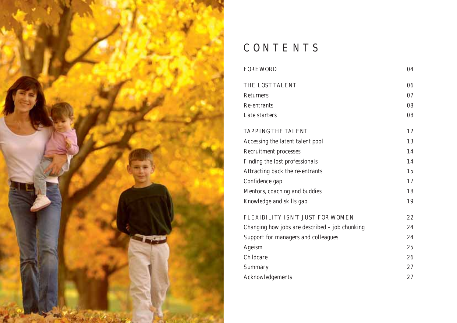

## CONTENTS

| FOREWORD                                       | 04       |
|------------------------------------------------|----------|
| THE LOST TALENT                                | 06       |
| Returners                                      | 07       |
| Re-entrants                                    | 08       |
| Late starters                                  | 08       |
| <b>TAPPING THE TALENT</b>                      | $12^{1}$ |
| Accessing the latent talent pool               | 13       |
| Recruitment processes                          | 14       |
| Finding the lost professionals                 | 14       |
| Attracting back the re-entrants                | 15       |
| Confidence gap                                 | 17       |
| Mentors, coaching and buddies                  | 18       |
| Knowledge and skills gap                       | 19       |
| FLEXIBILITY ISN'T JUST FOR WOMEN               | 22       |
| Changing how jobs are described – job chunking | 24       |
| Support for managers and colleagues            | 24       |
| Ageism                                         | 25       |
| Childcare                                      | 26       |
| Summary                                        | 27       |
| Acknowledgements                               | 27       |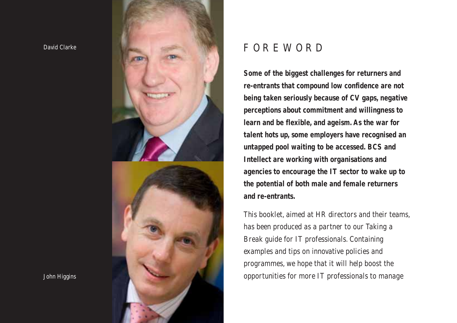David Clarke



## FOREWORD

**Some of the biggest challenges for returners and re-entrants that compound low confidence are not being taken seriously because of CV gaps, negative perceptions about commitment and willingness to learn and be flexible, and ageism. As the war for talent hots up, some employers have recognised an untapped pool waiting to be accessed. BCS and Intellect are working with organisations and agencies to encourage the IT sector to wake up to the potential of both male and female returners and re-entrants.** 

This booklet, aimed at HR directors and their teams, has been produced as a partner to our *Taking a Break* guide for IT professionals. Containing examples and tips on innovative policies and programmes, we hope that it will help boost the opportunities for more IT professionals to manage

John Higgins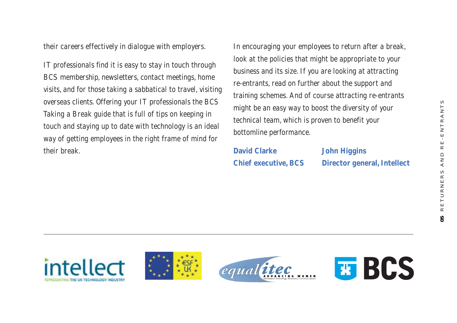their careers effectively in dialogue with employers.

IT professionals find it is easy to stay in touch through BCS membership, newsletters, contact meetings, home visits, and for those taking a sabbatical to travel, visiting overseas clients. Offering your IT professionals the BCS *Taking a Break* guide that is full of tips on keeping in touch and staying up to date with technology is an ideal way of getting employees in the right frame of mind for their break.

In encouraging your employees to return after a break, look at the policies that might be appropriate to your business and its size. If you are looking at attracting re-entrants, read on further about the support and training schemes. And of course attracting re-entrants might be an easy way to boost the diversity of your technical team, which is proven to benefit your bottomline performance.

## **David Clarke John Higgins**

**Chief executive, BCS Director general, Intellect**







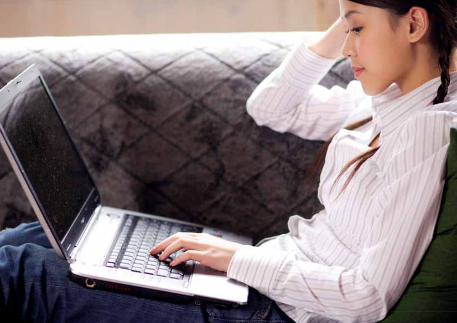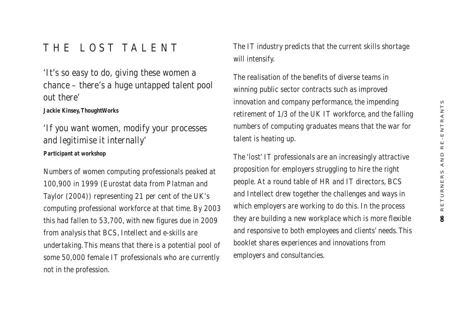## THE LOST TALENT

*'It's so easy to do, giving these women a chance – there's a huge untapped talent pool out there'*

**Jackie Kinsey, ThoughtWorks**

## *'If you want women, modify your processes and legitimise it internally'* **Participant at workshop**

Numbers of women computing professionals peaked at 100,900 in 1999 (Eurostat data from Platman and Taylor (2004)) representing 21 per cent of the UK's computing professional workforce at that time. By 2003 this had fallen to 53,700, with new figures due in 2009 from analysis that BCS, Intellect and e-skills are undertaking. This means that there is a potential pool of some 50,000 female IT professionals who are currently not in the profession.

The IT industry predicts that the current skills shortage will intensify.

The realisation of the benefits of diverse teams in winning public sector contracts such as improved innovation and company performance, the impending retirement of 1/3 of the UK IT workforce, and the falling numbers of computing graduates means that the war for talent is heating up.

The 'lost' IT professionals are an increasingly attractive proposition for employers struggling to hire the right people. At a round table of HR and IT directors, BCS and Intellect drew together the challenges and ways in which employers are working to do this. In the process they are building a new workplace which is more flexible and responsive to both employees and clients' needs. This booklet shares experiences and innovations from employers and consultancies.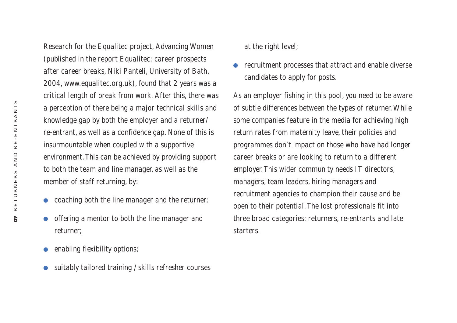Research for the Equalitec project, Advancing Women (published in the report *Equalitec: career prospects after career breaks*, Niki Panteli, University of Bath, 2004, www.equalitec.org.uk), found that 2 years was a critical length of break from work. After this, there was a perception of there being a major technical skills and knowledge gap by both the employer and a returner/ re-entrant, as well as a confidence gap. None of this is insurmountable when coupled with a supportive environment. This can be achieved by providing support to both the team and line manager, as well as the member of staff returning, by:

- coaching both the line manager and the returner;
- offering a mentor to both the line manager and  $\bullet$ returner;
- enabling flexibility options;
- suitably tailored training / skills refresher courses

at the right level;

recruitment processes that attract and enable diverse candidates to apply for posts.

As an employer fishing in this pool, you need to be aware of subtle differences between the types of returner. While some companies feature in the media for achieving high return rates from maternity leave, their policies and programmes don't impact on those who have had longer career breaks or are looking to return to a different employer. This wider community needs IT directors, managers, team leaders, hiring managers and recruitment agencies to champion their cause and be open to their potential. The lost professionals fit into three broad categories: returners, re-entrants and late starters.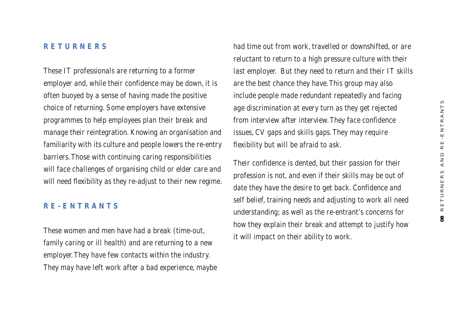#### **RETURNERS**

These IT professionals are returning to a former employer and, while their confidence may be down, it is often buoyed by a sense of having made the positive choice of returning. Some employers have extensive programmes to help employees plan their break and manage their reintegration. Knowing an organisation and familiarity with its culture and people lowers the re-entry barriers. Those with continuing caring responsibilities will face challenges of organising child or elder care and will need flexibility as they re-adjust to their new regime.

#### **RE-ENTRANTS**

These women and men have had a break (time-out, family caring or ill health) and are returning to a new employer. They have few contacts within the industry. They may have left work after a bad experience, maybe had time out from work, travelled or downshifted, or are reluctant to return to a high pressure culture with their last employer. But they need to return and their IT skills are the best chance they have. This group may also include people made redundant repeatedly and facing age discrimination at every turn as they get rejected from interview after interview. They face confidence issues, CV gaps and skills gaps. They may require flexibility but will be afraid to ask.

Their confidence is dented, but their passion for their profession is not, and even if their skills may be out of date they have the desire to get back. Confidence and self belief, training needs and adjusting to work all need understanding; as well as the re-entrant's concerns for how they explain their break and attempt to justify how it will impact on their ability to work.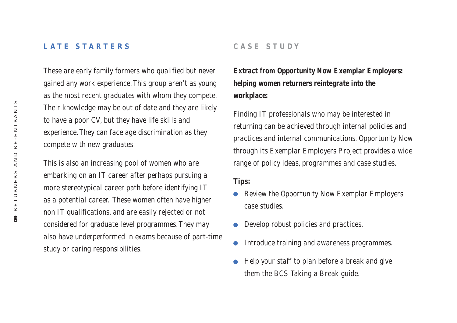#### **LATE STARTERS**

These are early family formers who qualified but never gained any work experience. This group aren't as young as the most recent graduates with whom they compete. Their knowledge may be out of date and they are likely to have a poor CV, but they have life skills and experience. They can face age discrimination as they compete with new graduates.

This is also an increasing pool of women who are embarking on an IT career after perhaps pursuing a more stereotypical career path before identifying IT as a potential career. These women often have higher non IT qualifications, and are easily rejected or not considered for graduate level programmes. They may also have underperformed in exams because of part-time study or caring responsibilities.

#### **CASE STUDY**

**Extract from Opportunity Now** *Exemplar Employers: helping women returners reintegrate into the workplace***:** 

Finding IT professionals who may be interested in returning can be achieved through internal policies and practices and internal communications. Opportunity Now through its Exemplar Employers Project provides a wide range of policy ideas, programmes and case studies.

#### **Tips:**

- Review the Opportunity Now Exemplar Employers case studies.
- Develop robust policies and practices.
- Introduce training and awareness programmes.  $\bullet$
- Help your staff to plan before a break and give them the BCS *Taking a Break* guide.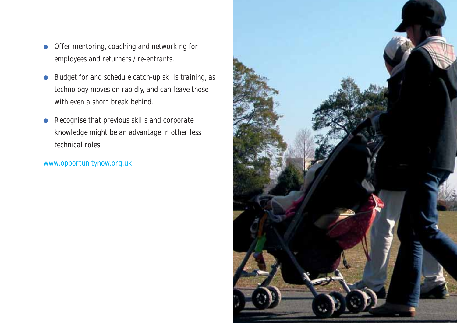- Offer mentoring, coaching and networking for  $\bullet$ employees and returners / re-entrants.
- Budget for and schedule catch-up skills training, as  $\bullet$ technology moves on rapidly, and can leave those with even a short break behind.
- Recognise that previous skills and corporate knowledge might be an advantage in other less technical roles.

#### www.opportunitynow.org.uk

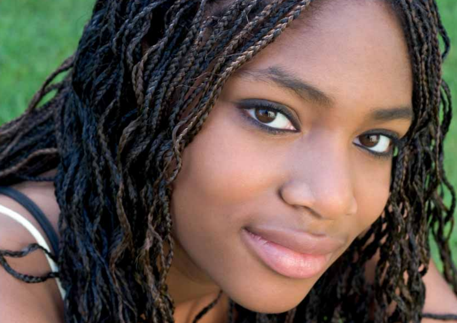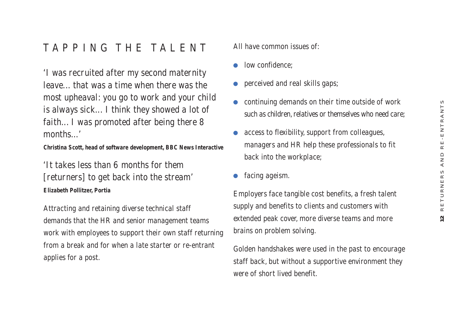## TAPPING THE TALENT

*'I was recruited after my second maternity leave... that was a time when there was the most upheaval: you go to work and your child is always sick... I think they showed a lot of faith... I was promoted after being there 8 months...'*

**Christina Scott, head of software development, BBC News Interactive**

*'It takes less than 6 months for them [returners] to get back into the stream'* **Elizabeth Pollitzer, Portia**

Attracting and retaining diverse technical staff demands that the HR and senior management teams work with employees to support their own staff returning from a break and for when a late starter or re-entrant applies for a post.

All have common issues of:

- low confidence;
- perceived and real skills gaps;
- continuing demands on their time outside of work such as children, relatives or themselves who need care;
- access to flexibility, support from colleagues, managers and HR help these professionals to fit back into the workplace;
- facing ageism.

Employers face tangible cost benefits, a fresh talent supply and benefits to clients and customers with extended peak cover, more diverse teams and more brains on problem solving.

Golden handshakes were used in the past to encourage staff back, but without a supportive environment they were of short lived benefit.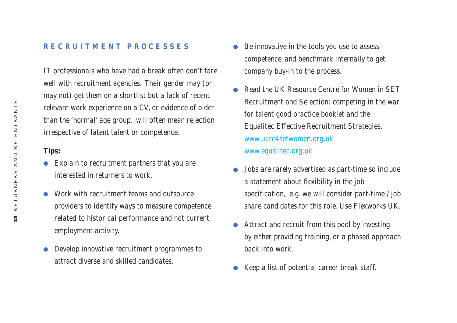#### **RECRUITMENT PROCESSES**

IT professionals who have had a break often don't fare well with recruitment agencies. Their gender may (or may not) get them on a shortlist but a lack of recent relevant work experience on a CV, or evidence of older than the 'normal' age group, will often mean rejection irrespective of latent talent or competence.

#### **Tips:**

- Explain to recruitment partners that you are interested in returners to work.
- Work with recruitment teams and outsource providers to identify ways to measure competence related to historical performance and not current employment activity.
- Develop innovative recruitment programmes to attract diverse and skilled candidates.
- Be innovative in the tools you use to assess competence, and benchmark internally to get company buy-in to the process.
- Read the UK Resource Centre for Women in SET *Recruitment and Selection: competing in the war for talent good practice* booklet and the Equalitec *Effective Recruitment Strategies*. www.ukrc4setwomen.org.uk www.equalitec.org.uk
- Jobs are rarely advertised as part-time so include a statement about flexibility in the job specification, e.g. we will consider part-time / job share candidates for this role. Use Flexworks UK.
- Attract and recruit from this pool by investing by either providing training, or a phased approach back into work.
- Keep a list of potential career break staff.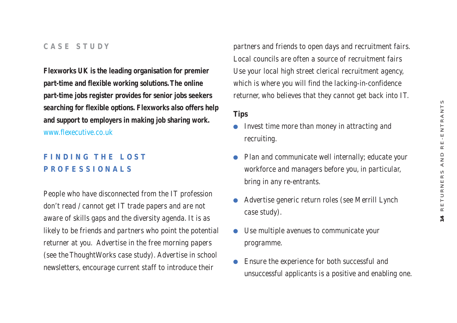#### **CASE STUDY**

**Flexworks UK is the leading organisation for premier part-time and flexible working solutions. The online part-time jobs register provides for senior jobs seekers searching for flexible options. Flexworks also offers help and support to employers in making job sharing work.** www.flexecutive.co.uk

### **FINDING THE LOST PROFESSIONALS**

People who have disconnected from the IT profession don't read / cannot get IT trade papers and are not aware of skills gaps and the diversity agenda. It is as likely to be friends and partners who point the potential returner at you. Advertise in the free morning papers (see the ThoughtWorks case study). Advertise in school newsletters, encourage current staff to introduce their

partners and friends to open days and recruitment fairs. Local councils are often a source of recruitment fairs Use your local high street clerical recruitment agency, which is where you will find the lacking-in-confidence returner, who believes that they cannot get back into IT.

#### **Tips**

- Invest time more than money in attracting and recruiting.
- Plan and communicate well internally; educate your workforce and managers before you, in particular, bring in any re-entrants.
- Advertise generic return roles (see Merrill Lynch case study).
- Use multiple avenues to communicate your programme.
- Ensure the experience for both successful and unsuccessful applicants is a positive and enabling one.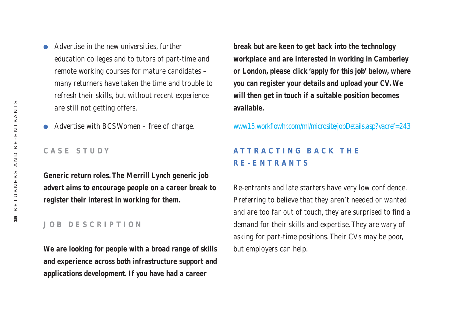- Advertise in the new universities, further  $\bullet$ education colleges and to tutors of part-time and remote working courses for mature candidates – many returners have taken the time and trouble to refresh their skills, but without recent experience are still not getting offers.
- Advertise with BCSWomen free of charge.

#### **CASE STUDY**

**Generic return roles. The Merrill Lynch generic job advert aims to encourage people on a career break to register their interest in working for them.**

#### **JOB DESCRIPTION**

**We are looking for people with a broad range of skills and experience across both infrastructure support and applications development. If you have had a career**

**break but are keen to get back into the technology workplace and are interested in working in Camberley or London, please click 'apply for this job' below, where you can register your details and upload your CV. We will then get in touch if a suitable position becomes available.**

www15.workflowhr.com/ml/microsite/jobDetails.asp?vacref=243

## **ATTRACTING BACK THE RE-ENTRANTS**

Re-entrants and late starters have very low confidence. Preferring to believe that they aren't needed or wanted and are too far out of touch, they are surprised to find a demand for their skills and expertise. They are wary of asking for part-time positions. Their CVs may be poor, but employers can help.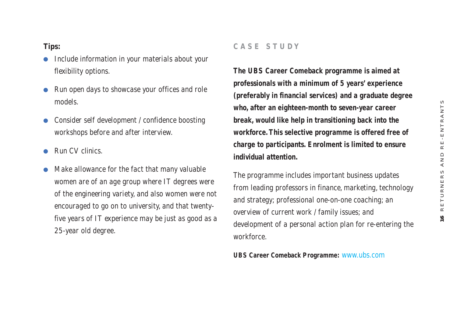#### **Tips:**

- Include information in your materials about your flexibility options.
- Run open days to showcase your offices and role models.
- Consider self development / confidence boosting workshops before and after interview.
- Run CV clinics.
- Make allowance for the fact that many valuable women are of an age group where IT degrees were of the engineering variety, and also women were not encouraged to go on to university, and that twentyfive years of IT experience may be just as good as a 25-year old degree.

#### **CASE STUDY**

**The UBS Career Comeback programme is aimed at professionals with a minimum of 5 years' experience (preferably in financial services) and a graduate degree who, after an eighteen-month to seven-year career break, would like help in transitioning back into the workforce. This selective programme is offered free of charge to participants. Enrolment is limited to ensure individual attention.** 

The programme includes important business updates from leading professors in finance, marketing, technology and strategy; professional one-on-one coaching; an overview of current work / family issues; and development of a personal action plan for re-entering the workforce.

**UBS Career Comeback Programme:** www.ubs.com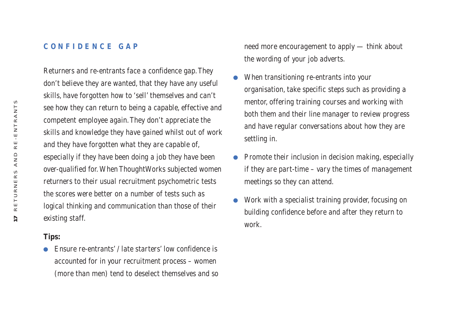#### **CONFIDENCE GAP**

Returners and re-entrants face a confidence gap. They don't believe they are wanted, that they have any useful skills, have forgotten how to 'sell' themselves and can't see how they can return to being a capable, effective and competent employee again. They don't appreciate the skills and knowledge they have gained whilst out of work and they have forgotten what they are capable of, especially if they have been doing a job they have been over-qualified for. When ThoughtWorks subjected women returners to their usual recruitment psychometric tests the scores were better on a number of tests such as logical thinking and communication than those of their existing staff.

#### **Tips:**

● Ensure re-entrants' / late starters' low confidence is accounted for in your recruitment process – women (more than men) tend to deselect themselves and so need more encouragement to apply — think about the wording of your job adverts.

- When transitioning re-entrants into your organisation, take specific steps such as providing a mentor, offering training courses and working with both them and their line manager to review progress and have regular conversations about how they are settling in.
- Promote their inclusion in decision making, especially if they are part-time – vary the times of management meetings so they can attend.
- Work with a specialist training provider, focusing on building confidence before and after they return to work.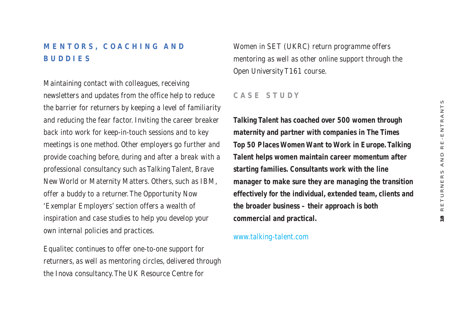## **MENTORS, COACHING AND BUDDIES**

Maintaining contact with colleagues, receiving newsletters and updates from the office help to reduce the barrier for returners by keeping a level of familiarity and reducing the fear factor. Inviting the career breaker back into work for keep-in-touch sessions and to key meetings is one method. Other employers go further and provide coaching before, during and after a break with a professional consultancy such as Talking Talent, Brave New World or Maternity Matters. Others, such as IBM, offer a buddy to a returner. The Opportunity Now 'Exemplar Employers' section offers a wealth of inspiration and case studies to help you develop your own internal policies and practices.

Equalitec continues to offer one-to-one support for returners, as well as mentoring circles, delivered through the Inova consultancy. The UK Resource Centre for

Women in SET (UKRC) return programme offers mentoring as well as other online support through the Open University T161 course.

#### **CASE STUDY**

**Talking Talent has coached over 500 women through maternity and partner with companies in** *The Times* **Top 50 Places Women Want to Work in Europe. Talking Talent helps women maintain career momentum after starting families. Consultants work with the line manager to make sure they are managing the transition effectively for the individual, extended team, clients and the broader business – their approach is both commercial and practical.** 

#### www.talking-talent.com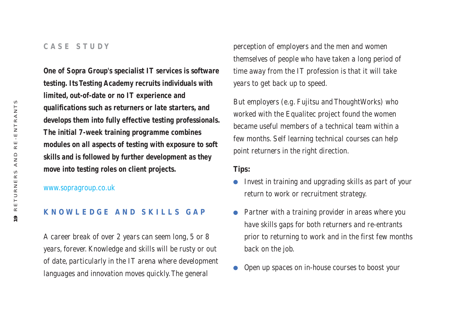#### **CASE STUDY**

**One of Sopra Group's specialist IT services is software testing. Its Testing Academy recruits individuals with limited, out-of-date or no IT experience and qualifications such as returners or late starters, and develops them into fully effective testing professionals. The initial 7-week training programme combines modules on all aspects of testing with exposure to soft skills and is followed by further development as they move into testing roles on client projects.**

www.sopragroup.co.uk

#### **KNOWLEDGE AND SKILLS GAP**

A career break of over 2 years can seem long, 5 or 8 years, forever. Knowledge and skills will be rusty or out of date, particularly in the IT arena where development languages and innovation moves quickly. The general

perception of employers and the men and women themselves of people who have taken a long period of time away from the IT profession is that it will take years to get back up to speed.

But employers (e.g. Fujitsu and ThoughtWorks) who worked with the Equalitec project found the women became useful members of a technical team within a few months. Self learning technical courses can help point returners in the right direction.

#### **Tips:**

- Invest in training and upgrading skills as part of your return to work or recruitment strategy.
- Partner with a training provider in areas where you  $\bullet$ have skills gaps for both returners and re-entrants prior to returning to work and in the first few months back on the job.
- Open up spaces on in-house courses to boost your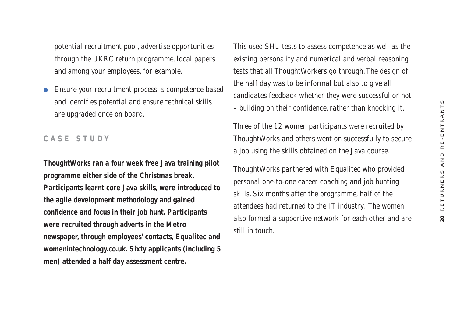potential recruitment pool, advertise opportunities through the UKRC return programme, local papers and among your employees, for example.

Ensure your recruitment process is competence based and identifies potential and ensure technical skills are upgraded once on board.

#### **CASE STUDY**

**ThoughtWorks ran a four week free Java training pilot programme either side of the Christmas break. Participants learnt core Java skills, were introduced to the agile development methodology and gained confidence and focus in their job hunt. Participants were recruited through adverts in the Metro newspaper, through employees' contacts, Equalitec and womenintechnology.co.uk. Sixty applicants (including 5 men) attended a half day assessment centre.** 

This used SHL tests to assess competence as well as the existing personality and numerical and verbal reasoning tests that all ThoughtWorkers go through. The design of the half day was to be informal but also to give all candidates feedback whether they were successful or not – building on their confidence, rather than knocking it.

Three of the 12 women participants were recruited by ThoughtWorks and others went on successfully to secure a job using the skills obtained on the Java course.

ThoughtWorks partnered with Equalitec who provided personal one-to-one career coaching and job hunting skills. Six months after the programme, half of the attendees had returned to the IT industry. The women also formed a supportive network for each other and are still in touch.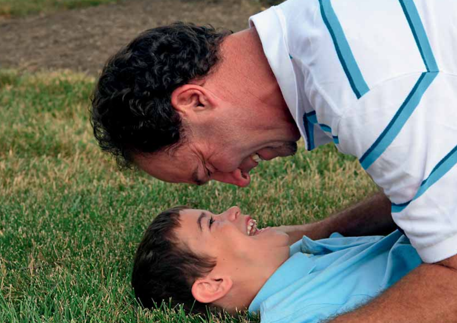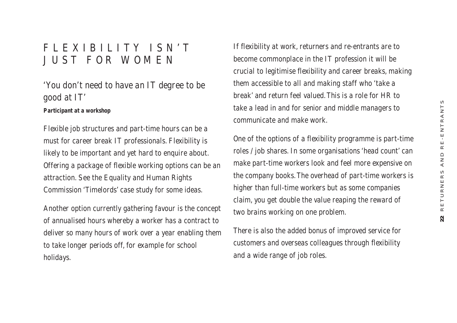## FLEXIBILITY ISN'T JUST FOR WOMEN

## 'You don't need to have an IT degree to be good at IT' **Participant at a workshop**

Flexible job structures and part-time hours can be a must for career break IT professionals. Flexibility is likely to be important and yet hard to enquire about. Offering a package of flexible working options can be an attraction. See the Equality and Human Rights Commission 'Timelords' case study for some ideas.

Another option currently gathering favour is the concept of annualised hours whereby a worker has a contract to deliver so many hours of work over a year enabling them to take longer periods off, for example for school holidays.

If flexibility at work, returners and re-entrants are to become commonplace in the IT profession it will be crucial to legitimise flexibility and career breaks, making them accessible to all and making staff who 'take a break' and return feel valued. This is a role for HR to take a lead in and for senior and middle managers to communicate and make work.

One of the options of a flexibility programme is part-time roles / job shares. In some organisations 'head count' can make part-time workers look and feel more expensive on the company books. The overhead of part-time workers is higher than full-time workers but as some companies claim, you get double the value reaping the reward of two brains working on one problem.

There is also the added bonus of improved service for customers and overseas colleagues through flexibility and a wide range of job roles.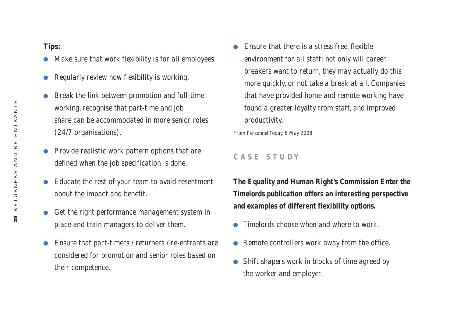#### **Tips:**

- Make sure that work flexibility is for all employees.
- Regularly review how flexibility is working.
- Break the link between promotion and full-time working, recognise that part-time and job share can be accommodated in more senior roles (24/7 organisations).
- Provide realistic work pattern options that are defined when the job specification is done.
- Educate the rest of your team to avoid resentment about the impact and benefit.
- Get the right performance management system in place and train managers to deliver them.
- Ensure that part-timers / returners / re-entrants are considered for promotion and senior roles based on their competence.

Ensure that there is a stress free, flexible  $\bullet$ environment for all staff; not only will career breakers want to return, they may actually do this more quickly, or not take a break at all. Companies that have provided home and remote working have found a greater loyalty from staff, and improved productivity.

From Personnel Today, 6 May 2008

#### **CASE STUDY**

**The Equality and Human Right's Commission** *Enter the Timelords* **publication offers an interesting perspective and examples of different flexibility options.**

- Timelords choose when and where to work.
- Remote controllers work away from the office.
- Shift shapers work in blocks of time agreed by the worker and employer.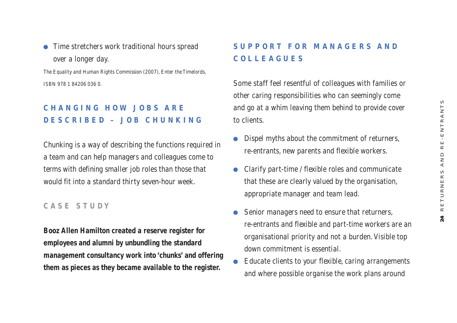Time stretchers work traditional hours spread  $\bullet$ over a longer day.

The Equality and Human Rights Commission (2007), Enter the Timelords, ISBN 978 1 84206 036 0.

## **CHANGING HOW JOBS ARE DESCRIBED – JOB CHUNKING**

Chunking is a way of describing the functions required in a team and can help managers and colleagues come to terms with defining smaller job roles than those that would fit into a standard thirty seven-hour week.

#### **CASE STUDY**

**Booz Allen Hamilton created a reserve register for employees and alumni by unbundling the standard management consultancy work into 'chunks' and offering them as pieces as they became available to the register.**

## **SUPPORT FOR MANAGERS AND COLLEAGUES**

Some staff feel resentful of colleagues with families or other caring responsibilities who can seemingly come and go at a whim leaving them behind to provide cover to clients.

- Dispel myths about the commitment of returners, re-entrants, new parents and flexible workers.
- Clarify part-time / flexible roles and communicate  $\bullet$ that these are clearly valued by the organisation, appropriate manager and team lead.
- Senior managers need to ensure that returners, re-entrants and flexible and part-time workers are an organisational priority and not a burden. Visible top down commitment is essential.
- Educate clients to your flexible, caring arrangements and where possible organise the work plans around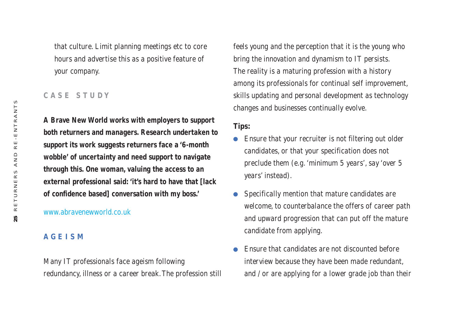that culture. Limit planning meetings etc to core hours and advertise this as a positive feature of your company.

#### **CASE STUDY**

**A Brave New World works with employers to support both returners and managers. Research undertaken to support its work suggests returners face a '6-month wobble' of uncertainty and need support to navigate through this. One woman, valuing the access to an external professional said: 'it's hard to have that [lack of confidence based] conversation with my boss.'**

#### www.abravenewworld.co.uk

#### **AGEISM**

Many IT professionals face ageism following redundancy, illness or a career break. The profession still feels young and the perception that it is the young who bring the innovation and dynamism to IT persists. The reality is a maturing profession with a history among its professionals for continual self improvement, skills updating and personal development as technology changes and businesses continually evolve.

#### **Tips:**

- Ensure that your recruiter is not filtering out older candidates, or that your specification does not preclude them (e.g. 'minimum 5 years', say 'over 5 years' instead).
- Specifically mention that mature candidates are  $\bullet$ welcome, to counterbalance the offers of career path and upward progression that can put off the mature candidate from applying.
- Ensure that candidates are not discounted before interview because they have been made redundant, and / or are applying for a lower grade job than their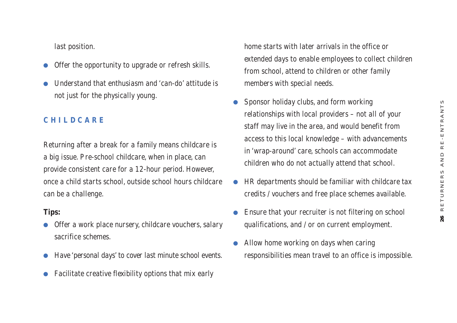last position.

- Offer the opportunity to upgrade or refresh skills.
- Understand that enthusiasm and 'can-do' attitude is not just for the physically young.

#### **CHILDCARE**

Returning after a break for a family means childcare is a big issue. Pre-school childcare, when in place, can provide consistent care for a 12-hour period. However, once a child starts school, outside school hours childcare can be a challenge.

#### **Tips:**

- $\bullet$  Offer a work place nursery, childcare vouchers, salary sacrifice schemes.
- Have 'personal days' to cover last minute school events.
- Facilitate creative flexibility options that mix early

home starts with later arrivals in the office or extended days to enable employees to collect children from school, attend to children or other family members with special needs.

- Sponsor holiday clubs, and form working  $\bullet$ relationships with local providers – not all of your staff may live in the area, and would benefit from access to this local knowledge – with advancements in 'wrap-around' care, schools can accommodate children who do not actually attend that school.
- HR departments should be familiar with childcare tax credits / vouchers and free place schemes available.
- Ensure that your recruiter is not filtering on school qualifications, and / or on current employment.
- Allow home working on days when caring responsibilities mean travel to an office is impossible.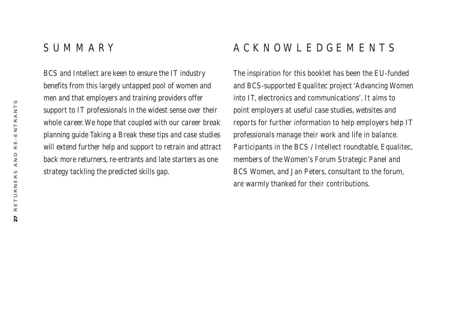## SUMMARY

BCS and Intellect are keen to ensure the IT industry benefits from this largely untapped pool of women and men and that employers and training providers offer support to IT professionals in the widest sense over their whole career. We hope that coupled with our career break planning guide *Taking a Break* these tips and case studies will extend further help and support to retrain and attract back more returners, re-entrants and late starters as one strategy tackling the predicted skills gap.

## ACKNOWLEDGEMENTS

The inspiration for this booklet has been the EU-funded and BCS-supported Equalitec project 'Advancing Women into IT, electronics and communications'. It aims to point employers at useful case studies, websites and reports for further information to help employers help IT professionals manage their work and life in balance. Participants in the BCS / Intellect roundtable, Equalitec, members of the Women's Forum Strategic Panel and BCS Women, and Jan Peters, consultant to the forum, are warmly thanked for their contributions.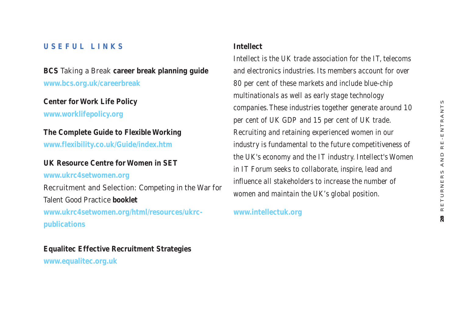#### **USEFUL LINKS**

## **BCS** *Taking a Break* **career break planning guide www.bcs.org.uk/careerbreak**

**Center for Work Life Policy www.worklifepolicy.org**

**The Complete Guide to Flexible Working www.flexibility.co.uk/Guide/index.htm**

**UK Resource Centre for Women in SET**

#### **www.ukrc4setwomen.org**

*Recruitment and Selection: Competing in the War for Talent Good Practice* **booklet www.ukrc4setwomen.org/html/resources/ukrcpublications** 

**Equalitec Effective Recruitment Strategies**

**www.equalitec.org.uk**

#### **Intellect**

Intellect is the UK trade association for the IT, telecoms and electronics industries. Its members account for over 80 per cent of these markets and include blue-chip multinationals as well as early stage technology companies. These industries together generate around 10 per cent of UK GDP and 15 per cent of UK trade. Recruiting and retaining experienced women in our industry is fundamental to the future competitiveness of the UK's economy and the IT industry. Intellect's Women in IT Forum seeks to collaborate, inspire, lead and influence all stakeholders to increase the number of women and maintain the UK's global position.

**www.intellectuk.org**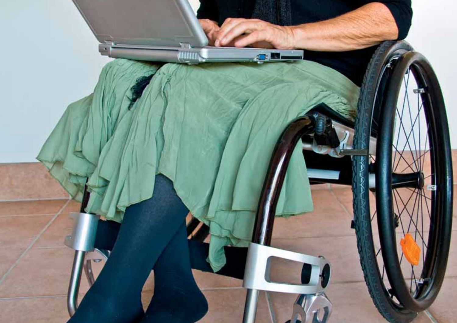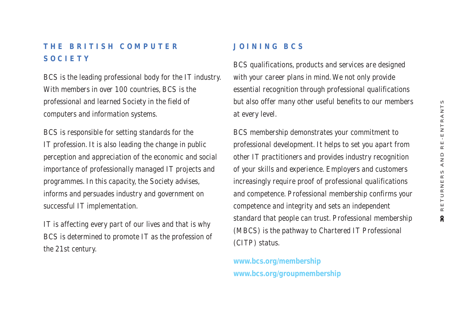## **THE BRITISH COMPUTER SOCIETY**

BCS is the leading professional body for the IT industry. With members in over 100 countries, BCS is the professional and learned Society in the field of computers and information systems.

BCS is responsible for setting standards for the IT profession. It is also leading the change in public perception and appreciation of the economic and social importance of professionally managed IT projects and programmes. In this capacity, the Society advises, informs and persuades industry and government on successful IT implementation.

IT is affecting every part of our lives and that is why BCS is determined to promote IT as the profession of the 21st century.

#### **JOINING BCS**

BCS qualifications, products and services are designed with your career plans in mind. We not only provide essential recognition through professional qualifications but also offer many other useful benefits to our members at every level.

BCS membership demonstrates your commitment to professional development. It helps to set you apart from other IT practitioners and provides industry recognition of your skills and experience. Employers and customers increasingly require proof of professional qualifications and competence. Professional membership confirms your competence and integrity and sets an independent standard that people can trust. Professional membership (MBCS) is the pathway to Chartered IT Professional (CITP) status.

**www.bcs.org/membership www.bcs.org/groupmembership**